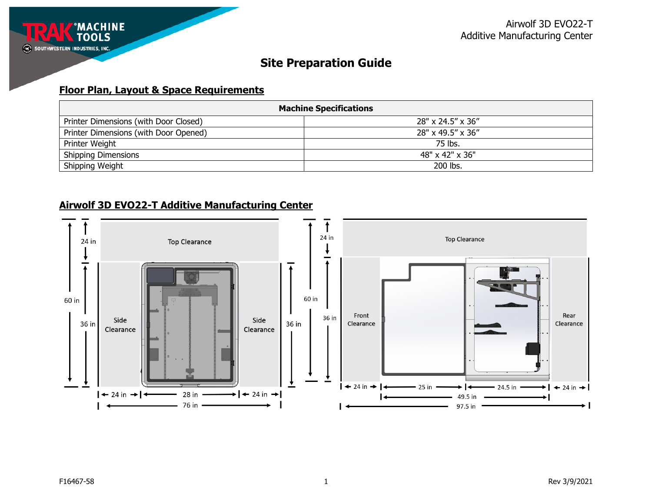## **Floor Plan, Layout & Space Requirements**

| <b>Machine Specifications</b>         |                   |  |
|---------------------------------------|-------------------|--|
| Printer Dimensions (with Door Closed) | 28" x 24.5" x 36" |  |
| Printer Dimensions (with Door Opened) | 28" x 49.5" x 36" |  |
| Printer Weight                        | 75 lbs.           |  |
| <b>Shipping Dimensions</b>            | 48" x 42" x 36"   |  |
| Shipping Weight                       | 200 lbs.          |  |

## **Airwolf 3D EVO22-T Additive Manufacturing Center**

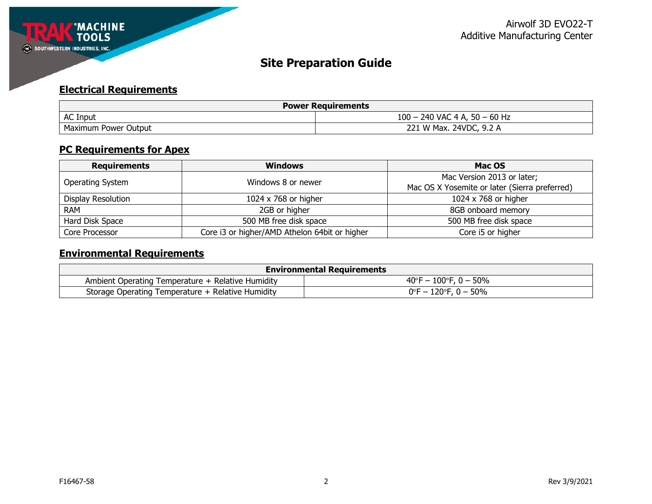

## **Electrical Requirements**

| <b>Power Requirements</b> |                                 |  |
|---------------------------|---------------------------------|--|
| <b>AC Input</b>           | $100 - 240$ VAC 4 A, 50 - 60 Hz |  |
| Maximum Power Output      | 221 W Max. 24VDC, 9.2 A         |  |

## **PC Requirements for Apex**

| <b>Requirements</b> | <b>Windows</b>                                | Mac OS                                        |
|---------------------|-----------------------------------------------|-----------------------------------------------|
|                     | Windows 8 or newer                            | Mac Version 2013 or later;                    |
| Operating System    |                                               | Mac OS X Yosemite or later (Sierra preferred) |
| Display Resolution  | 1024 x 768 or higher                          | 1024 x 768 or higher                          |
| <b>RAM</b>          | 2GB or higher                                 | 8GB onboard memory                            |
| Hard Disk Space     | 500 MB free disk space                        | 500 MB free disk space                        |
| Core Processor      | Core i3 or higher/AMD Athelon 64bit or higher | Core i5 or higher                             |

# **Environmental Requirements**

| <b>Environmental Requirements</b>                 |                                            |  |
|---------------------------------------------------|--------------------------------------------|--|
| Ambient Operating Temperature + Relative Humidity | $40^{\circ}$ F – 100 $^{\circ}$ F, 0 – 50% |  |
| Storage Operating Temperature + Relative Humidity | 0°F – 120°F, 0 – 50%                       |  |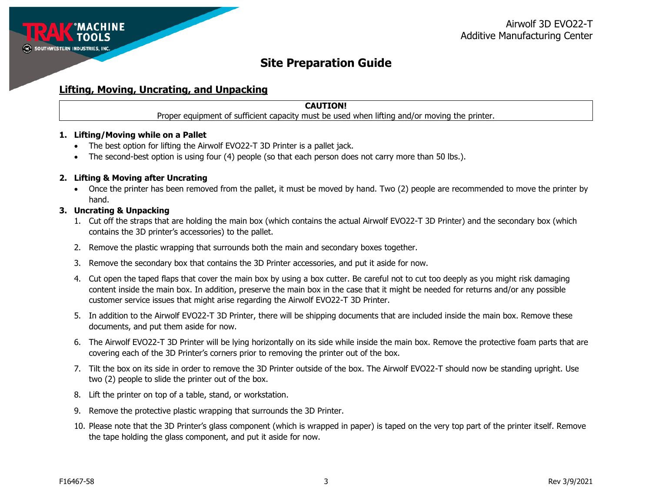

### **Lifting, Moving, Uncrating, and Unpacking**

### **CAUTION!**

Proper equipment of sufficient capacity must be used when lifting and/or moving the printer.

#### **1. Lifting/Moving while on a Pallet**

- The best option for lifting the Airwolf EVO22-T 3D Printer is a pallet jack.
- The second-best option is using four (4) people (so that each person does not carry more than 50 lbs.).

#### **2. Lifting & Moving after Uncrating**

• Once the printer has been removed from the pallet, it must be moved by hand. Two (2) people are recommended to move the printer by hand.

#### **3. Uncrating & Unpacking**

- 1. Cut off the straps that are holding the main box (which contains the actual Airwolf EVO22-T 3D Printer) and the secondary box (which contains the 3D printer's accessories) to the pallet.
- 2. Remove the plastic wrapping that surrounds both the main and secondary boxes together.
- 3. Remove the secondary box that contains the 3D Printer accessories, and put it aside for now.
- 4. Cut open the taped flaps that cover the main box by using a box cutter. Be careful not to cut too deeply as you might risk damaging content inside the main box. In addition, preserve the main box in the case that it might be needed for returns and/or any possible customer service issues that might arise regarding the Airwolf EVO22-T 3D Printer.
- 5. In addition to the Airwolf EVO22-T 3D Printer, there will be shipping documents that are included inside the main box. Remove these documents, and put them aside for now.
- 6. The Airwolf EVO22-T 3D Printer will be lying horizontally on its side while inside the main box. Remove the protective foam parts that are covering each of the 3D Printer's corners prior to removing the printer out of the box.
- 7. Tilt the box on its side in order to remove the 3D Printer outside of the box. The Airwolf EVO22-T should now be standing upright. Use two (2) people to slide the printer out of the box.
- 8. Lift the printer on top of a table, stand, or workstation.
- 9. Remove the protective plastic wrapping that surrounds the 3D Printer.
- 10. Please note that the 3D Printer's glass component (which is wrapped in paper) is taped on the very top part of the printer itself. Remove the tape holding the glass component, and put it aside for now.